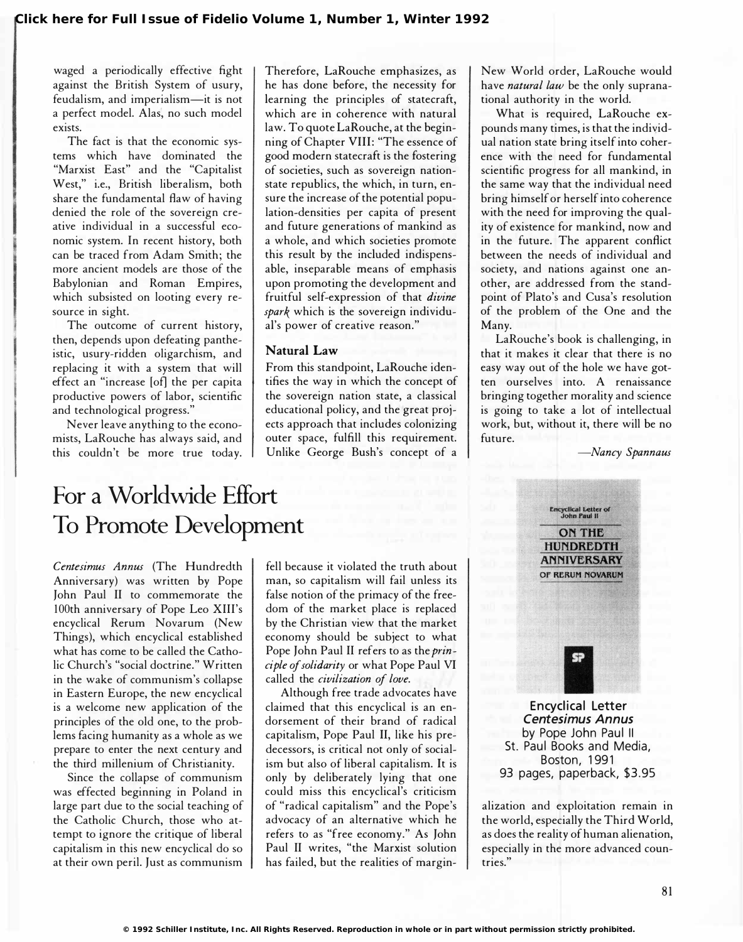waged a periodically effective fight against the British System of usury, feudalism, and imperialism-it is not a perfect model. Alas, no such model exists.

The fact is that the economic systems which have dominated the "Marxist East" and the "Capitalist West," i.e., British liberalism, both share the fundamental flaw of having denied the role of the sovereign creative individual in a successful economic system. In recent history, both can be traced from Adam Smith; the more ancient models are those of the Babylonian and Roman Empires, which subsisted on looting every resource in sight.

The outcome of current history, then, depends upon defeating pantheistic, usury-ridden oligarchism, and replacing it with a system that will effect an "increase [of] the per capita productive powers of labor, scientific and technological progress."

Never leave anything to the economists, LaRouche has always said, and this couldn't be more true today. Therefore, LaRouche emphasizes, as he has done before, the necessity for learning the principles of statecraft, which are in coherence with natural law. To quote LaRouche, at the beginning of Chapter VIII: "The essence of good modern statecraft is the fostering of societies, such as sovereign nationstate republics, the which, in turn, ensure the increase of the potential population-densities per capita of present and future generations of mankind as a whole, and which societies promote this result by the included indispensable, inseparable means of emphasis upon promoting the development and fruitful self-expression of that divine spark which is the sovereign individual's power of creative reason."

## Natural Law

From this standpoint, LaRouche identifies the way in which the concept of the sovereign nation state, a classical educational policy, and the great projects approach that includes colonizing outer space, fulfill this requirement. Unlike George Bush's concept of a

New World order, LaRouche would have natural law be the only supranational authority in the world.

What is required, LaRouche expounds many times, is that the individual nation state bring itself into coherence with the need for fundamental scientific progress for all mankind, in the same way that the individual need bring himself or herself into coherence with the need for improving the quality of existence for mankind, now and in the future. The apparent conflict between the needs of individual and society, and nations against one another, are addressed from the standpoint of Plato's and Cusa's resolution of the problem of the One and the Many.

LaRouche's book is challenging, in that it makes it clear that there is no easy way out of the hole we have gotten ourselves into. A renaissance bringing together morality and science is going to take a lot of intellectual work, but, without it, there will be no future.

-Nancy Spannaus

## For a Worldwide Effort To Promote Development

Centesimus Annus (The Hundredth Anniversary) was written by Pope John Paul II to commemorate the 100th anniversary of Pope Leo XIII's encyclical Rerum Novarum (New Things), which encyclical established what has come to be called the Catholic Church's "social doctrine." Written in the wake of communism's collapse in Eastern Europe, the new encyclical is a welcome new application of the principles of the old one, to the problems facing humanity as a whole as we prepare to enter the next century and the third millenium of Christianity.

Since the collapse of communism was effected beginning in Poland in large part due to the social teaching of the Catholic Church, those who attempt to ignore the critique of liberal capitalism in this new encyclical do so at their own peril. Just as communism

fell because it violated the truth about man, so capitalism will fail unless its false notion of the primacy of the freedom of the market place is replaced by the Christian view that the market economy should be subject to what Pope John Paul II refers to as the principle of solidarity or what Pope Paul VI called the civilization of love.

Although free trade advocates have claimed that this encyclical is an endorsement of their brand of radical capitalism, Pope Paul II, like his predecessors, is critical not only of socialism but also of liberal capitalism. It is only by deliberately lying that one could miss this encyclical's criticism of "radical capitalism" and the Pope's advocacy of an alternative which he refers to as "free economy." As John Paul II writes, "the Marxist solution has failed, but the realities of margin-



by Pope John Paul II St. Paul Books and Media, **Boston, 1991** 93 pages, paperback, \$3.95

alization and exploitation remain in the world, especially the Third World, as does the reality of human alienation, especially in the more advanced countries."